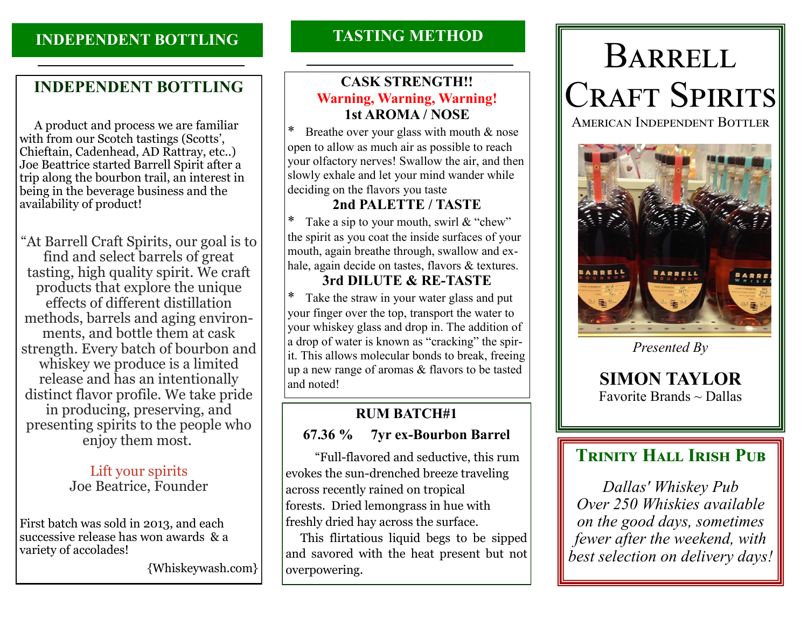## **INDEPENDENT BOTTLING**

# **INDEPENDENT BOTTLING**

 A product and process we are familiar with from our Scotch tastings (Scotts', Chieftain, Cadenhead, AD Rattray, etc..) Joe Beattrice started Barrell Spirit after a trip along the bourbon trail, an interest in being in the beverage business and the availability of product!

"At Barrell Craft Spirits, our goal is to find and select barrels of great tasting, high quality spirit. We craft products that explore the unique effects of different distillation methods, barrels and aging environments, and bottle them at cask strength. Every batch of bourbon and whiskey we produce is a limited release and has an intentionally distinct flavor profile. We take pride in producing, preserving, and presenting spirits to the people who enjoy them most.

### Lift your spirits Joe Beatrice, Founder

First batch was sold in 2013, and each successive release has won awards & a variety of accolades!

{Whiskeywash.com}

# **TASTING METHOD**

## **CASK STRENGTH!! Warning, Warning, Warning! 1st AROMA / NOSE**

Breathe over your glass with mouth  $&$  nose open to allow as much air as possible to reach your olfactory nerves! Swallow the air, and then slowly exhale and let your mind wander while deciding on the flavors you taste

#### **2nd PALETTE / TASTE**

Take a sip to your mouth, swirl  $&$  "chew" the spirit as you coat the inside surfaces of your mouth, again breathe through, swallow and exhale, again decide on tastes, flavors & textures.

## **3rd DILUTE & RE-TASTE**

Take the straw in your water glass and put your finger over the top, transport the water to your whiskey glass and drop in. The addition of a drop of water is known as "cracking" the spirit. This allows molecular bonds to break, freeing up a new range of aromas & flavors to be tasted and noted!

# **RUM BATCH#1**

## **67.36 % 7yr ex-Bourbon Barrel**

 "Full-flavored and seductive, this rum evokes the sun-drenched breeze traveling across recently rained on tropical forests. Dried lemongrass in hue with freshly dried hay across the surface.

 This flirtatious liquid begs to be sipped and savored with the heat present but not overpowering.

# Barrell CRAFT SPIRITS

American Independent Bottler



*Presented By* 

**SIMON TAYLOR**  Favorite Brands  $\sim$  Dallas

# **TRINITY HALL IRISH PUB**

*Dallas' Whiskey Pub Over 250 Whiskies available on the good days, sometimes fewer after the weekend, with best selection on delivery days!*